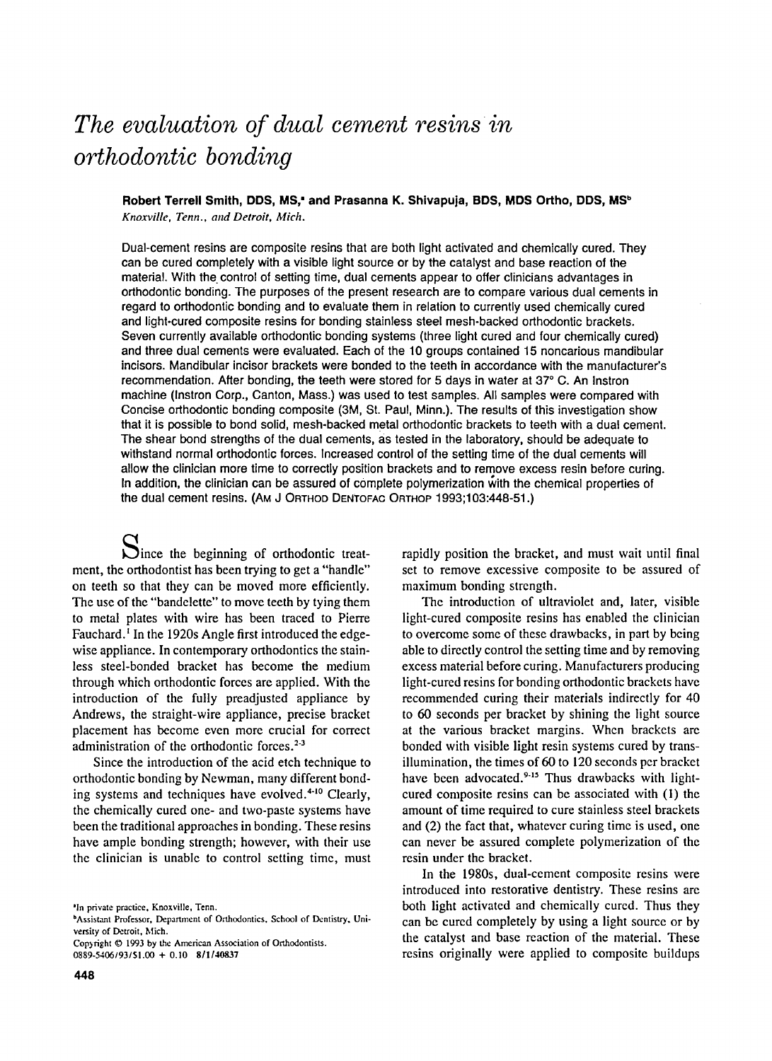# *The evaluation of dual cement resinsin orthodontic bonding*

Robert Terrell Smith, DDS, MS,<sup>\*</sup> and Prasanna K. Shivapuja, BDS, MDS Ortho, DDS, MS<sup>b</sup> *Knoxville, Tenn.. and Detroit, Mich.* 

Dual-cement resins are composite resins that are both light activated and chemically cured. They can be cured completely with a visible light source or by the catalyst and base reaction of the material. With the control of setting time, dual cements appear to offer clinicians advantages in orthodontic bonding. The purposes of the present research are to compare various dual cements in regard to orthodontic bonding and to evaluate them in relation to currently used chemically cured and light-cured composite resins for bonding stainless steel mesh-backed orthodontic brackets. Seven currently available orthodontic bonding systems (three light cured and four chemically cured) and three dual cements were evaluated. Each of the 10 groups contained 15 noncarious mandibular incisors. Mandibular incisor brackets were bonded to the teeth in accordance with the manufacturer's recommendation. After bonding, the teeth were stored for 5 days in water at 37° C. An Instron machine (Instron Corp., Canton, Mass.) was used to test samples. All samples were compared with Concise orthodontic bonding composite (3M, St. Paul, Minn.). The results of this investigation show that it is possible to bond solid, mesh-backed metal orthodontic brackets to teeth with a dual cement. The shear bond strengths of the dual cements, as tested in the laboratory, should be adequate to withstand normal orthodontic forces. Increased control of the setting time of the dual cements will allow the clinician more time to correctly position brackets and to remove excess resin before curing. In addition, the clinician can be assured of complete polymerization with the chemical properties of the dual cement resins. (AM J ORTHOO DENTOFAC ORTHOP 1993;103:448-51.)

Since the beginning of orthodontic treatment, the orthodontist has been trying to get a "handle" on teeth so that they can be moved more efficiently. The use of the "bandelette" to move teeth by tying them to metal plates with wire has been traced to Pierre Fauchard.<sup>1</sup> In the 1920s Angle first introduced the edgewise appliance. In contemporary orthodontics the stainless steel-bonded bracket has become the medium through which orthodontic forces are applied. With the introduction of the fully preadjusted appliance by Andrews, the straight-wire appliance, precise bracket placement has become even more crucial for correct administration of the orthodontic forces.<sup>2-3</sup>

Since the introduction of the acid etch technique to orthodontic bonding by Newman, many different bonding systems and techniques have evolved. $4-10$  Clearly, the chemically cured one- and two-paste systems have been the traditional approaches in bonding. These resins have ample bonding strength; however, with their use the clinician is unable to control setting time, must

Copyright  $©$  1993 by the American Association of Orthodontists. 0889-5406193/\$1.CO + 0.10 811140837

rapidly position the bracket, and must wait until final set to remove excessive composite to be assured of maximum bonding strength.

The introduction of ultraviolet and, later, visible light-cured composite resins has enabled the clinician to overcome some of these drawbacks, in part by being able to directly control the setting time and by removing excess material before curing. Manufacturers producing light-cured resins for bonding orthodontic brackets have recommended curing their materials indirectly for 40 to 60 seconds per bracket by shining the light source at the various bracket margins. When brackets are bonded with visible light resin systems cured by transillumination, the times of 60 to 120 seconds per bracket have been advocated.<sup>9-15</sup> Thus drawbacks with lightcured composite resins can be associated with (l) the amount of time required to cure stainless steel brackets and (2) the fact that, whatever curing time is used, one can never be assured complete polymerization of the resin under the bracket.

In the 1980s, dual-cement composite resins were introduced into restorative dentistry. These resins are both light activated and chemically cured. Thus they can be cured completely by using a light source or by the catalyst and base reaction of the material. These resins originally were applied to composite buildups

<sup>&#</sup>x27;In private practice, Knoxville, Tenn.

bAssistant Professor, Department of Orthodontics. School of Dentistry. University of Detroit, Mich.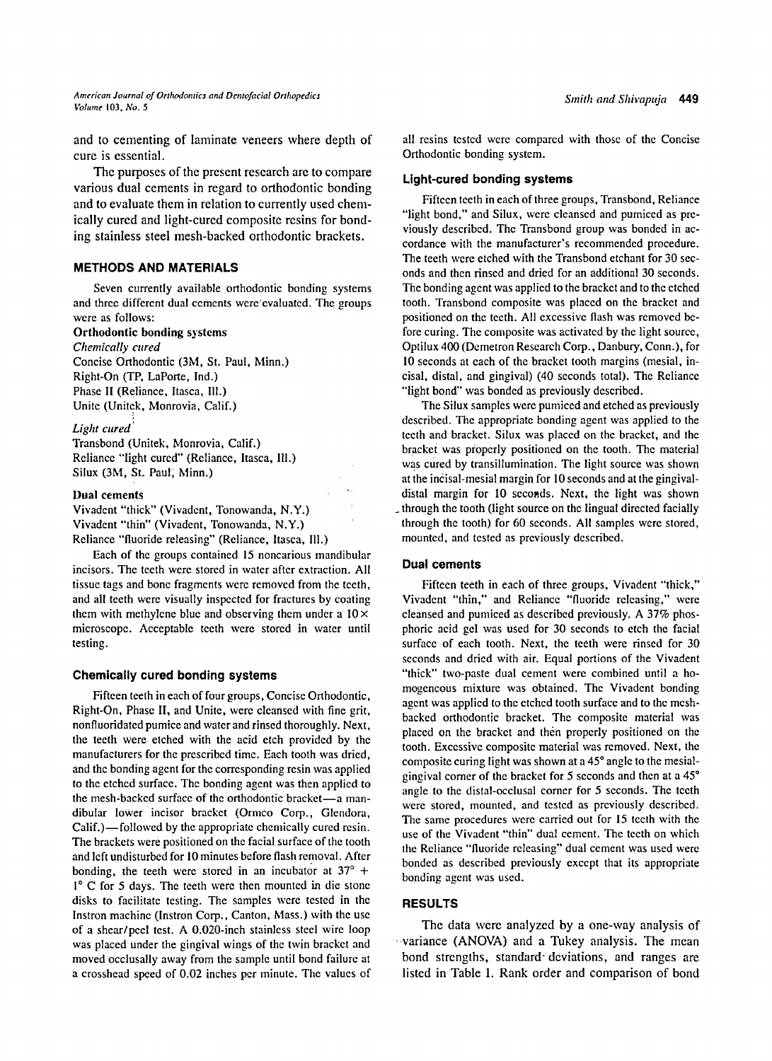and to cementing of laminate veneers where depth of cure is essential.

The purposes of the present research are to compare various dual cements in regard to orthodontic bonding and to evaluate them in relation to currently used chemically cured and light-cured composite resins for bonding stainless steel mesh-backed orthodontic brackets.

# **METHODS AND MATERIALS**

Seven currently available orthodontic bonding systems and three different dual cements were evaluated. The groups were as follows:

#### Orthodontic bonding systems

*Chemically cured*  Concise Orthodontic (3M, St. Paul, Minn.) Right-On (TP, LaPorte, Ind.) Phase II (Reliance, ltasca, II1.) Unite (Unitek, Monrovia, Calif.)

# *Light cured*

Transbond (Unitek, Monrovia, Calif.) Reliance "light cured" (Reliance, Itasca, Ill.) Silux (3M, St. Paul; Minn.)

# Dual cements

Vivadent "thick" (Vivadent, Tonowanda, N.Y.) Vivadent "thin" (Vivadent, Tonowanda, N.Y.) Reliance "fluoride releasing" (Reliance, Itasca, I11.)

Each of the groups contained 15 noncarious mandibular incisors. The teeth were stored in water after extraction. All tissue tags and bone fragments were removed from the teeth, and all teeth were visually inspected for fractures by coating them with methylene blue and observing them under a  $10 \times$ microscope. Acceptable teeth were stored in water until testing.

# **Chemically cured bonding systems**

Fifteen teeth in each of four groups, Concise Orthodontic, Right-On, Phase II, and Unite, were cleansed with fine grit, nonfluoridated pumice and water and rinsed thoroughly. Next, the teeth were etched with the acid etch provided by the manufacturers for the prescribed time. Each tooth was dried, and the bonding agent for the corresponding resin was applied to the etched surface. The bonding agent was then applied to the mesh-backed surface of the orthodontic bracket-a mandibular lower incisor bracket (Ormco Corp., Glendora, Calif.)—followed by the appropriate chemically cured resin. The brackets were positioned on the facial surface of the tooth and left undisturbed for 10 minutes before flash removal. After bonding, the teeth were stored in an incubator at  $37^\circ$  + 1° C for 5 days. The teeth were then mounted in die stone disks to facilitate testing. The samples were tested in the lnstron machine (lnstron Corp., Canton, Mass.) with the use of a shear/peel test. A 0.020-inch stainless steel wire loop was placed under the gingival wings of the twin bracket and moved ocelusally away from the sample until bond failure at a crosshead speed of 0.02 inches per minute. The values of all resins tested were compared with those of the Concise Orthodontic bonding system.

#### **Light-cured bonding systems**

Fifteen teeth in each of three groups, Transbond, Reliance "light bond," and Silux, were cleansed and pumiced as previously described. The Transbond group was bonded in accordance with the manufacturer's recommended procedure. The teeth were etched with the Transbond etchant for 30 seconds and then rinsed and dried for an additional 30 seconds. The bonding agent was applied to the bracket and to the etched tooth. Transbond composite was placed on the bracket and positioned on the teeth. All excessive flash was removed before curing. The composite was activated by the light source, Optilux 400 (Demetron Research Corp., Danbury, Conn.), for 10 seconds at each of the bracket tooth margins (mesial, incisal, distal, and gingival) (40 seconds total). The Reliance "light bond" was bonded as previously described.

The Silux samples were pumiced and etched as previously described. The appropriate bonding agent was applied to the teeth and bracket. Silux was placed on the bracket, and the bracket was properly positioned on the tooth. The material was cured by transillumination. The light source was shown at the incisal-mesial margin for 10 seconds and at the gingivaldistal margin for 10 seconds. Next, the light was shown **\_** through the tooth (light source on the lingual directed facially through the tooth) for 60 seconds. All samples were stored, mounted, and tested as previously described.

# **Dual cements**

Fifteen teeth in each of three groups, Vivadent "thick," Vivadent "thin," and Reliance "fluoride releasing," were cleansed and pumiced as described previously. A 37% phosphoric acid gel was used for 30 seconds to etch the facial surface of each tooth. Next, the teeth were rinsed for 30 seconds and dried with air. Equal portions of the Vivadent "thick" two-paste dual cement were combined until a homogeneous mixture was obtained. The Vivadent bonding agent was applied to the etched tooth surface and to the meshbacked orthodontic bracket. The composite material was placed on the bracket and then properly positioned on the tooth. Excessive composite material was removed. Next, the composite curing light was shown at a 45° angle to the mesialgingival comer of the bracket for 5 seconds and then at a  $45^\circ$ angle to the distal-occlusal comer for 5 seconds. The teeth were stored, mounted, and tested as previously described. The same procedures were carried out for 15 teeth with the use of the Vivadent "thin" dual cement. The teeth on which the Reliance "fluoride releasing" dual cement was used were bonded as described previously except that its appropriate bonding agent was used.

# **RESULTS**

The data were analyzed by a one-way analysis of variance (ANOVA) and a Tukey analysis. The mean bond strengths, standard deviations, and ranges are listed in Table I. Rank order and comparison of bond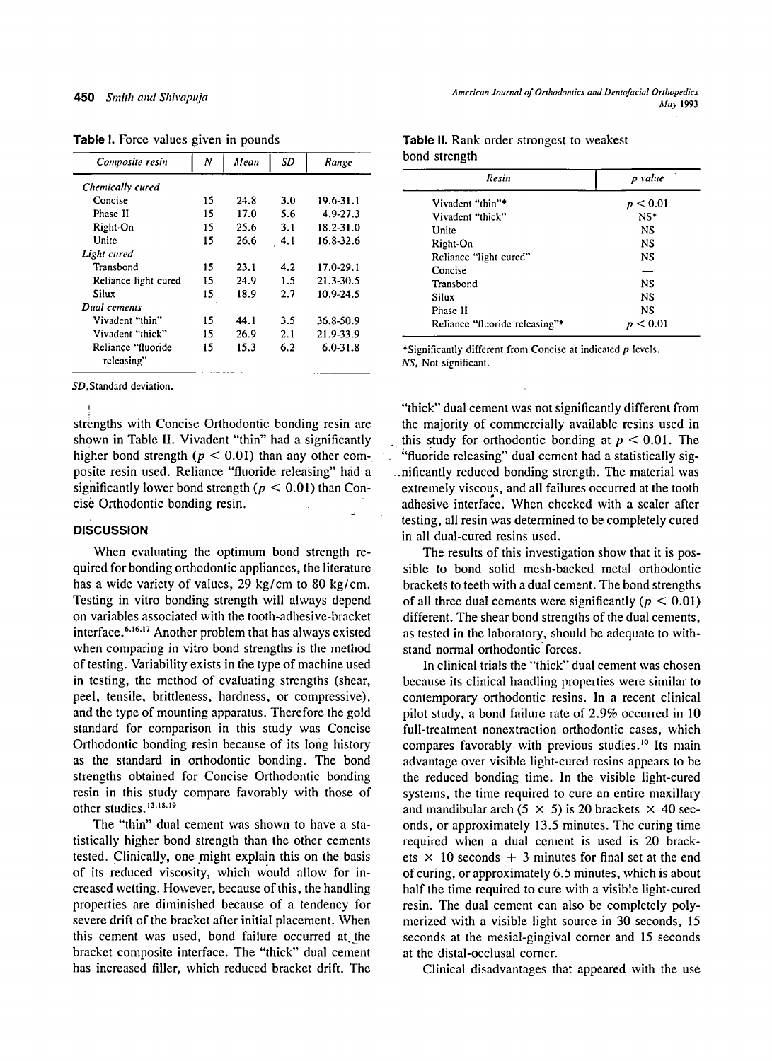| Composite resin                  | N  | Mean | SD  | Range         |
|----------------------------------|----|------|-----|---------------|
| Chemically cured                 |    |      |     |               |
| Concise                          | 15 | 24.8 | 3.0 | 19.6-31.1     |
| Phase II                         | 15 | 17.0 | 5.6 | 4.9-27.3      |
| Right-On                         | 15 | 25.6 | 3.1 | $18.2 - 31.0$ |
| Unite                            | 15 | 26.6 | 4.1 | 16.8-32.6     |
| Light cured                      |    |      |     |               |
| Transbond                        | 15 | 23.1 | 4.2 | 17.0-29.1     |
| Reliance light cured             | 15 | 24.9 | 1.5 | 21.3-30.5     |
| Silux                            | 15 | 18.9 | 27  | 10.9-24.5     |
| Dual cements                     |    |      |     |               |
| Vivadent "thin"                  | 15 | 44.1 | 3.5 | 36.8-50.9     |
| Vivadent "thick"                 | 15 | 26.9 | 2.1 | 21.9-33.9     |
| Reliance "fluoride<br>releasing" | 15 | 15.3 | 6.2 | $6.0 - 31.8$  |

**Table** I. Force values given in pounds

SD,Standard deviation.

strengths with Concise Orthodontic bonding resin are shown in Table II. Vivadent "thin" had a significantly higher bond strength ( $p < 0.01$ ) than any other composite resin used. Reliance "fluoride releasing" had a significantly lower bond strength ( $p < 0.01$ ) than Concise Orthodontic bonding resin.

# **DISCUSSION**

When evaluating the optimum bond strength required for bonding orthodontic appliances, the literature has a wide variety of values, 29 kg/cm to 80 kg/cm. Testing in vitro bonding strength will always depend on variables associated with the tooth-adhesive-bracket interface.<sup>6,16,17</sup> Another problem that has always existed when comparing in vitro bond strengths is the method of testing. Variability exists in the type of machine used in testing, the method of evaluating strengths (shear, peel, tensile, brittleness, hardness, or compressive), and the type of mounting apparatus. Therefore the gold standard for comparison in this study was Concise Orthodontic bonding resin because of its long history as the standard in orthodontic bonding. The bond strengths obtained for Concise Orthodontic bonding resin in this study compare favorably with those of other studies. 13.18.19

The "thin" dual cement was shown to have a statistically higher bond strength than the other cements tested. Clinically, one might explain this on the basis of its reduced viscosity, which would allow for increased wetting. However, because of this, the handling properties are diminished because of a tendency for severe drift of the bracket after initial placement. When this cement was used, bond failure occurred at the bracket composite interface. The "thick" dual cement has increased filler, which reduced bracket drift. The

| Resin                          | p value<br>p < 0.01 |  |
|--------------------------------|---------------------|--|
| Vivadent "thin"*               |                     |  |
| Vivadent "thick"               | $NS*$               |  |
| Unite                          | NS                  |  |
| Right-On                       | <b>NS</b>           |  |
| Reliance "light cured"         | NS.                 |  |
| Concise                        |                     |  |
| Transbond                      | NS.                 |  |
| Silux                          | NS.                 |  |
| Phase II                       | NS                  |  |
| Reliance "fluoride releasing"* | $<$ 0.01 $\,$       |  |

**Table** II. Rank order strongest to weakest bond strength

\*Significantly different from Concise at indicated p levels. *NS,* Not significant.

"thick" dual cement was not significantly different from the majority of commercially available resins used in this study for orthodontic bonding at  $p < 0.01$ . The ~'fluoride releasing" dual cement had a statistically sig nificantly reduced bonding strength. The material was extremely viscous, and all failures occurred at the tooth adhesive interface. When checked with a scaler after testing, all resin was determined to be completely cured in all dual-cured resins used.

The results of this investigation show that it is possible to bond solid mesh-backed metal orthodontic brackets to teeth with a dual cement. The bond strengths of all three dual cements were significantly ( $p < 0.01$ ) different. The shear bond strengths of the dual cements, as tested in the laboratory, should be adequate to withstand normal orthodontic forces.

In clinical trials the "thick" dual cement was chosen because its clinical handling properties were similar to contemporary orthodontic resins. In a recent clinical pilot study, a bond failure rate of 2.9% occurred in I0 full-treatment nonextraction orthodontic cases, which compares favorably with previous studies.<sup>10</sup> Its main advantage over visible light-cured resins appears to be the reduced bonding time. In the visible light-cured systems, the time required to cure an entire maxillary and mandibular arch (5  $\times$  5) is 20 brackets  $\times$  40 seconds, or approximately 13.5 minutes. The curing time required when a dual cement is used is 20 brackets  $\times$  10 seconds + 3 minutes for final set at the end of curing, or approximately 6.5 minutes, which is about half the time required to cure with a visible light-cured resin. The dual cement can also be completely polymerized with a visible light source in 30 seconds, 15 seconds at the mesial-gingival comer and 15 seconds at the distal-occlusal comer.

Clinical disadvantages that appeared with the use